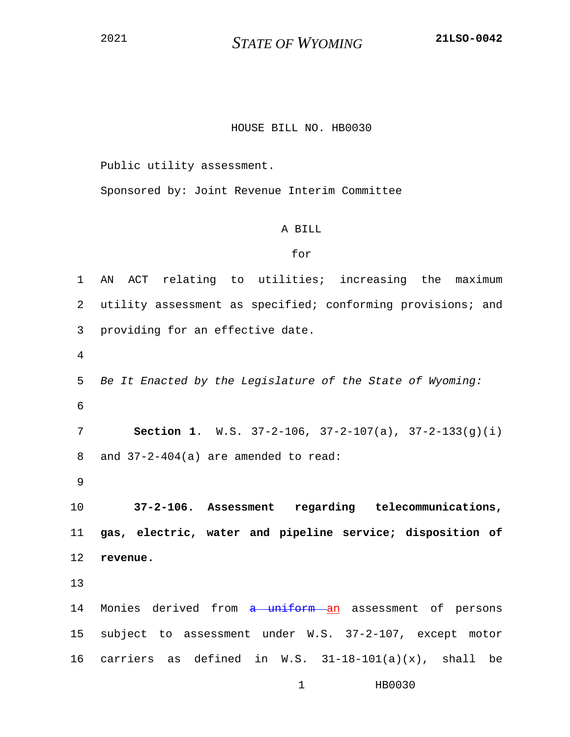<sup>2021</sup> *STATE OF WYOMING* **21LSO-0042**

## HOUSE BILL NO. HB0030

Public utility assessment.

Sponsored by: Joint Revenue Interim Committee

## A BILL

## for

1 AN ACT relating to utilities; increasing the maximum 2 utility assessment as specified; conforming provisions; and 3 providing for an effective date. 4 5 *Be It Enacted by the Legislature of the State of Wyoming:* 6 7 **Section 1**. W.S. 37-2-106, 37-2-107(a), 37-2-133(g)(i) 8 and 37-2-404(a) are amended to read: 9 10 **37-2-106. Assessment regarding telecommunications,**  11 **gas, electric, water and pipeline service; disposition of**  12 **revenue.** 13 14 Monies derived from a uniform an assessment of persons 15 subject to assessment under W.S. 37-2-107, except motor 16 carriers as defined in W.S.  $31-18-101(a)(x)$ , shall be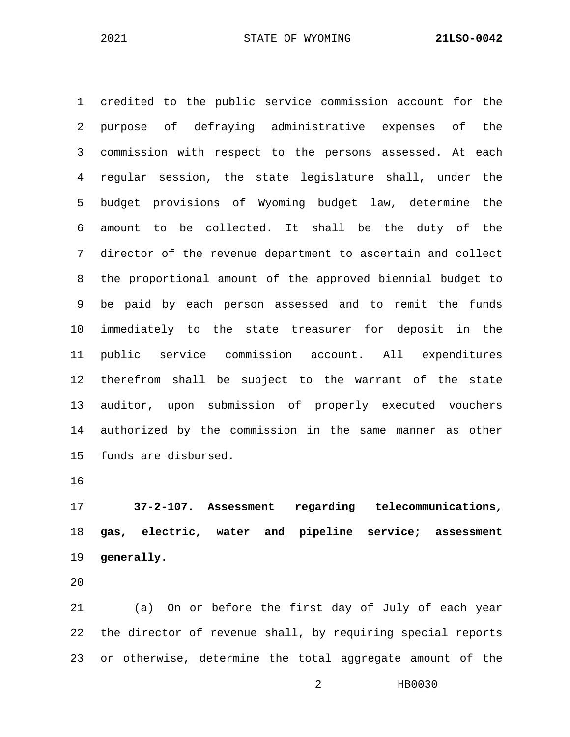1 credited to the public service commission account for the 2 purpose of defraying administrative expenses of the 3 commission with respect to the persons assessed. At each 4 regular session, the state legislature shall, under the 5 budget provisions of Wyoming budget law, determine the 6 amount to be collected. It shall be the duty of the 7 director of the revenue department to ascertain and collect 8 the proportional amount of the approved biennial budget to 9 be paid by each person assessed and to remit the funds 10 immediately to the state treasurer for deposit in the 11 public service commission account. All expenditures 12 therefrom shall be subject to the warrant of the state 13 auditor, upon submission of properly executed vouchers 14 authorized by the commission in the same manner as other 15 funds are disbursed.

16

17 **37-2-107. Assessment regarding telecommunications,**  18 **gas, electric, water and pipeline service; assessment**  19 **generally.**

20

21 (a) On or before the first day of July of each year 22 the director of revenue shall, by requiring special reports 23 or otherwise, determine the total aggregate amount of the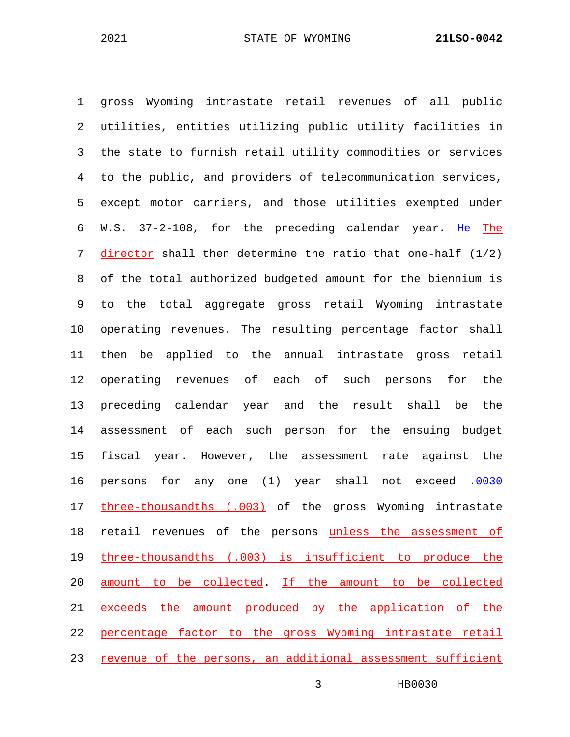1 gross Wyoming intrastate retail revenues of all public 2 utilities, entities utilizing public utility facilities in 3 the state to furnish retail utility commodities or services 4 to the public, and providers of telecommunication services, 5 except motor carriers, and those utilities exempted under 6 W.S. 37-2-108, for the preceding calendar year. He The 7 director shall then determine the ratio that one-half (1/2) 8 of the total authorized budgeted amount for the biennium is 9 to the total aggregate gross retail Wyoming intrastate 10 operating revenues. The resulting percentage factor shall 11 then be applied to the annual intrastate gross retail 12 operating revenues of each of such persons for the 13 preceding calendar year and the result shall be the 14 assessment of each such person for the ensuing budget 15 fiscal year. However, the assessment rate against the 16 persons for any one (1) year shall not exceed .0030 17 three-thousandths (.003) of the gross Wyoming intrastate 18 retail revenues of the persons unless the assessment of 19 three-thousandths (.003) is insufficient to produce the 20 amount to be collected. If the amount to be collected 21 exceeds the amount produced by the application of the 22 percentage factor to the gross Wyoming intrastate retail 23 revenue of the persons, an additional assessment sufficient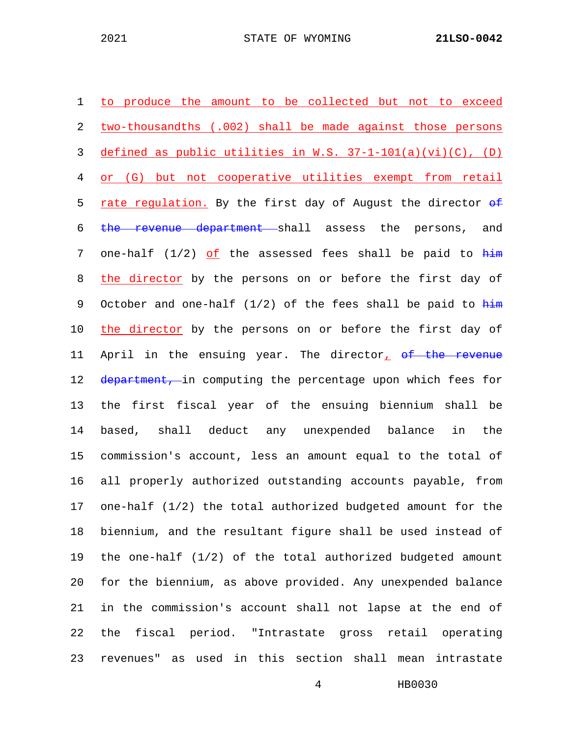| 1       | to produce the amount to be collected but not to exceed                      |
|---------|------------------------------------------------------------------------------|
| 2       | two-thousandths (.002) shall be made against those persons                   |
| 3       | defined as public utilities in W.S. $37-1-101(a)(vi)(C)$ , (D)               |
| 4       | or (G) but not cooperative utilities exempt from retail                      |
| 5       | rate regulation. By the first day of August the director of                  |
| 6       | the revenue department shall assess the persons, and                         |
| 7       | one-half $(1/2)$ of the assessed fees shall be paid to $\frac{h\pm m}{h}$    |
| 8       | the director by the persons on or before the first day of                    |
| 9       | October and one-half $(1/2)$ of the fees shall be paid to $\frac{h\pm m}{h}$ |
| $10 \,$ | the director by the persons on or before the first day of                    |
| 11      | April in the ensuing year. The director, of the revenue                      |
| 12      | department, in computing the percentage upon which fees for                  |
| 13      | the first fiscal year of the ensuing biennium shall be                       |
| 14      | based, shall deduct any unexpended balance in the                            |
| 15      | commission's account, less an amount equal to the total of                   |
| 16      | all properly authorized outstanding accounts payable, from                   |
| 17      | one-half $(1/2)$ the total authorized budgeted amount for the                |
| 18      | biennium, and the resultant figure shall be used instead of                  |
| 19      | the one-half $(1/2)$ of the total authorized budgeted amount                 |
| 20      | for the biennium, as above provided. Any unexpended balance                  |
| 21      | in the commission's account shall not lapse at the end of                    |
| 22      | the fiscal period. "Intrastate gross retail operating                        |
| 23      | revenues" as used in this section shall mean intrastate                      |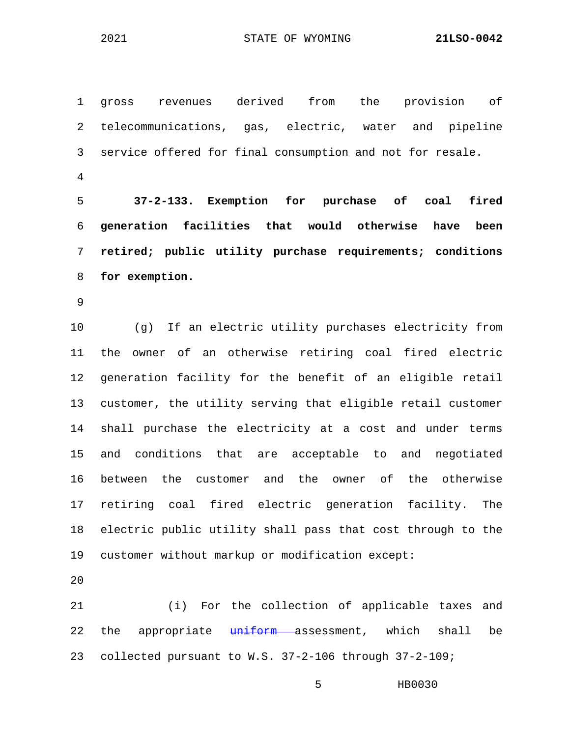2021 STATE OF WYOMING **21LSO-0042**

1 gross revenues derived from the provision of 2 telecommunications, gas, electric, water and pipeline 3 service offered for final consumption and not for resale. 4 5 **37-2-133. Exemption for purchase of coal fired**  6 **generation facilities that would otherwise have been**  7 **retired; public utility purchase requirements; conditions**  8 **for exemption.** 9 10 (g) If an electric utility purchases electricity from 11 the owner of an otherwise retiring coal fired electric 12 generation facility for the benefit of an eligible retail 13 customer, the utility serving that eligible retail customer 14 shall purchase the electricity at a cost and under terms 15 and conditions that are acceptable to and negotiated 16 between the customer and the owner of the otherwise 17 retiring coal fired electric generation facility. The 18 electric public utility shall pass that cost through to the 19 customer without markup or modification except:

20

21 (i) For the collection of applicable taxes and 22 the appropriate uniform assessment, which shall be 23 collected pursuant to W.S. 37-2-106 through 37-2-109;